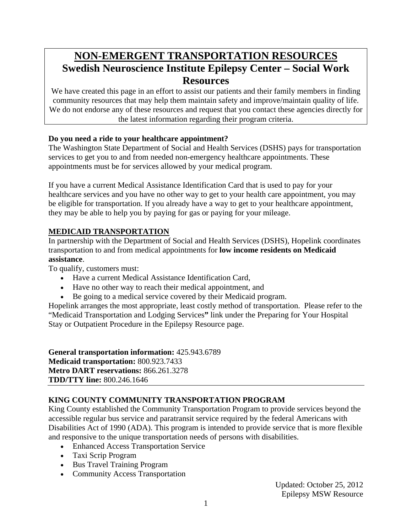# **NON-EMERGENT TRANSPORTATION RESOURCES Swedish Neuroscience Institute Epilepsy Center – Social Work Resources**

We have created this page in an effort to assist our patients and their family members in finding community resources that may help them maintain safety and improve/maintain quality of life. We do not endorse any of these resources and request that you contact these agencies directly for the latest information regarding their program criteria.

# **Do you need a ride to your healthcare appointment?**

The Washington State Department of Social and Health Services (DSHS) pays for transportation services to get you to and from needed non-emergency healthcare appointments. These appointments must be for services allowed by your medical program.

If you have a current Medical Assistance Identification Card that is used to pay for your healthcare services and you have no other way to get to your health care appointment, you may be eligible for transportation. If you already have a way to get to your healthcare appointment, they may be able to help you by paying for gas or paying for your mileage.

# **MEDICAID TRANSPORTATION**

In partnership with the Department of Social and Health Services (DSHS), Hopelink coordinates transportation to and from medical appointments for **low income residents on Medicaid assistance**.

To qualify, customers must:

- Have a current Medical Assistance Identification Card,
- Have no other way to reach their medical appointment, and
- Be going to a medical service covered by their Medicaid program.

Hopelink arranges the most appropriate, least costly method of transportation. Please refer to the "Medicaid Transportation and Lodging Services**"** link under the Preparing for Your Hospital Stay or Outpatient Procedure in the Epilepsy Resource page.

**General transportation information:** 425.943.6789 **Medicaid transportation:** 800.923.7433 **Metro DART reservations:** 866.261.3278 **TDD/TTY line:** 800.246.1646

# **KING COUNTY COMMUNITY TRANSPORTATION PROGRAM**

King County established the Community Transportation Program to provide services beyond the accessible regular bus service and paratransit service required by the federal Americans with Disabilities Act of 1990 (ADA). This program is intended to provide service that is more flexible and responsive to the unique transportation needs of persons with disabilities.

- Enhanced Access Transportation Service
- Taxi Scrip Program
- Bus Travel Training Program
- Community Access Transportation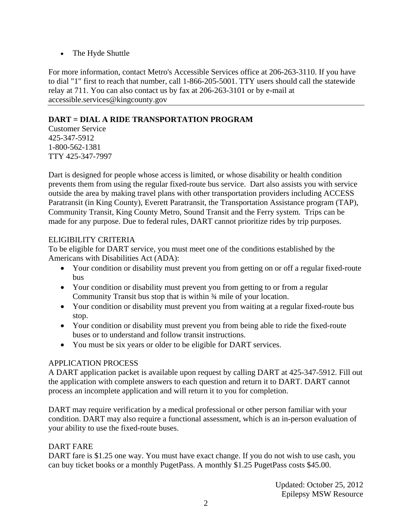• The Hyde Shuttle

For more information, contact Metro's Accessible Services office at 206-263-3110. If you have to dial "1" first to reach that number, call 1-866-205-5001. TTY users should call the statewide relay at 711. You can also contact us by fax at 206-263-3101 or by e-mail at accessible.services@kingcounty.gov

## **DART = DIAL A RIDE TRANSPORTATION PROGRAM**

Customer Service 425-347-5912 1-800-562-1381 TTY 425-347-7997

Dart is designed for people whose access is limited, or whose disability or health condition prevents them from using the regular fixed-route bus service. Dart also assists you with service outside the area by making travel plans with other transportation providers including ACCESS Paratransit (in King County), Everett Paratransit, the Transportation Assistance program (TAP), Community Transit, King County Metro, Sound Transit and the Ferry system. Trips can be made for any purpose. Due to federal rules, DART cannot prioritize rides by trip purposes.

## ELIGIBILITY CRITERIA

To be eligible for DART service, you must meet one of the conditions established by the Americans with Disabilities Act (ADA):

- Your condition or disability must prevent you from getting on or off a regular fixed-route bus
- Your condition or disability must prevent you from getting to or from a regular Community Transit bus stop that is within ¾ mile of your location.
- Your condition or disability must prevent you from waiting at a regular fixed-route bus stop.
- Your condition or disability must prevent you from being able to ride the fixed-route buses or to understand and follow transit instructions.
- You must be six years or older to be eligible for DART services.

#### APPLICATION PROCESS

A DART application packet is available upon request by calling DART at 425-347-5912. Fill out the application with complete answers to each question and return it to DART. DART cannot process an incomplete application and will return it to you for completion.

DART may require verification by a medical professional or other person familiar with your condition. DART may also require a functional assessment, which is an in-person evaluation of your ability to use the fixed-route buses.

#### DART FARE

DART fare is \$1.25 one way. You must have exact change. If you do not wish to use cash, you can buy ticket books or a monthly PugetPass. A monthly \$1.25 PugetPass costs \$45.00.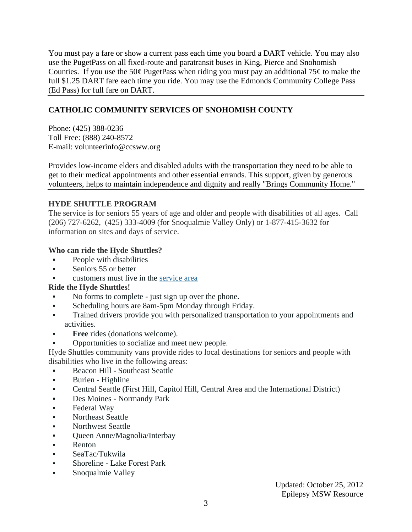You must pay a fare or show a current pass each time you board a DART vehicle. You may also use the PugetPass on all fixed-route and paratransit buses in King, Pierce and Snohomish Counties. If you use the 50 $\varphi$  PugetPass when riding you must pay an additional 75 $\varphi$  to make the full \$1.25 DART fare each time you ride. You may use the Edmonds Community College Pass (Ed Pass) for full fare on DART.

# **CATHOLIC COMMUNITY SERVICES OF SNOHOMISH COUNTY**

Phone: (425) 388-0236 Toll Free: (888) 240-8572 E-mail: volunteerinfo@ccsww.org

Provides low-income elders and disabled adults with the transportation they need to be able to get to their medical appointments and other essential errands. This support, given by generous volunteers, helps to maintain independence and dignity and really "Brings Community Home."

## **HYDE SHUTTLE PROGRAM**

The service is for seniors 55 years of age and older and people with disabilities of all ages. Call (206) 727-6262, (425) 333-4009 (for Snoqualmie Valley Only) or 1-877-415-3632 for information on sites and days of service.

## **Who can ride the Hyde Shuttles?**

- **People with disabilities**
- Seniors 55 or better
- customers must live in the service area

# **Ride the Hyde Shuttles!**

- No forms to complete just sign up over the phone.
- Scheduling hours are 8am-5pm Monday through Friday.
- Trained drivers provide you with personalized transportation to your appointments and activities.
- **Free** rides (donations welcome).
- Opportunities to socialize and meet new people.

Hyde Shuttles community vans provide rides to local destinations for seniors and people with disabilities who live in the following areas:

- Beacon Hill Southeast Seattle
- **Burien Highline**
- Central Seattle (First Hill, Capitol Hill, Central Area and the International District)
- Des Moines Normandy Park
- Federal Way
- Northeast Seattle
- Northwest Seattle
- Queen Anne/Magnolia/Interbay
- **Renton**
- SeaTac/Tukwila
- Shoreline Lake Forest Park
- Snoqualmie Valley